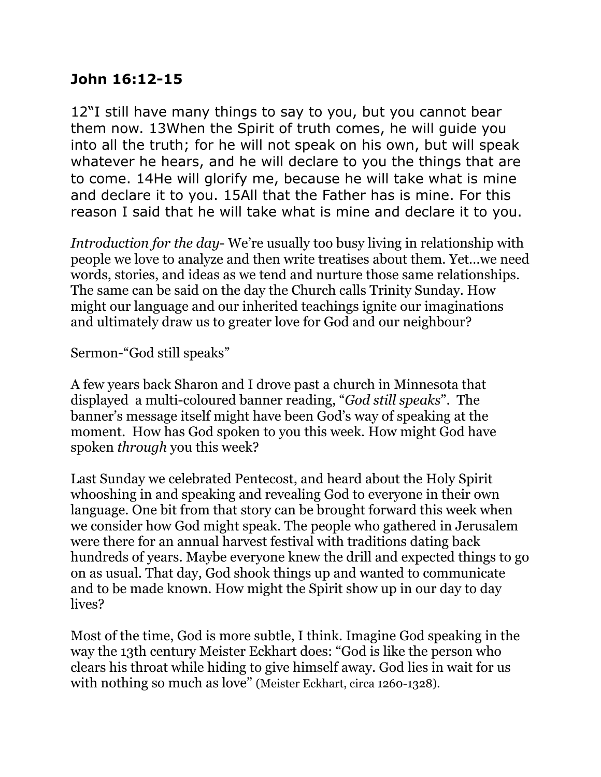## **John 16:12-15**

12"I still have many things to say to you, but you cannot bear them now. 13When the Spirit of truth comes, he will guide you into all the truth; for he will not speak on his own, but will speak whatever he hears, and he will declare to you the things that are to come. 14He will glorify me, because he will take what is mine and declare it to you. 15All that the Father has is mine. For this reason I said that he will take what is mine and declare it to you.

*Introduction for the day*- We're usually too busy living in relationship with people we love to analyze and then write treatises about them. Yet…we need words, stories, and ideas as we tend and nurture those same relationships. The same can be said on the day the Church calls Trinity Sunday. How might our language and our inherited teachings ignite our imaginations and ultimately draw us to greater love for God and our neighbour?

Sermon-"God still speaks"

A few years back Sharon and I drove past a church in Minnesota that displayed a multi-coloured banner reading, "*God still speaks*". The banner's message itself might have been God's way of speaking at the moment. How has God spoken to you this week. How might God have spoken *through* you this week?

Last Sunday we celebrated Pentecost, and heard about the Holy Spirit whooshing in and speaking and revealing God to everyone in their own language. One bit from that story can be brought forward this week when we consider how God might speak. The people who gathered in Jerusalem were there for an annual harvest festival with traditions dating back hundreds of years. Maybe everyone knew the drill and expected things to go on as usual. That day, God shook things up and wanted to communicate and to be made known. How might the Spirit show up in our day to day lives?

Most of the time, God is more subtle, I think. Imagine God speaking in the way the 13th century Meister Eckhart does: "God is like the person who clears his throat while hiding to give himself away. God lies in wait for us with nothing so much as love" (Meister Eckhart, circa 1260-1328).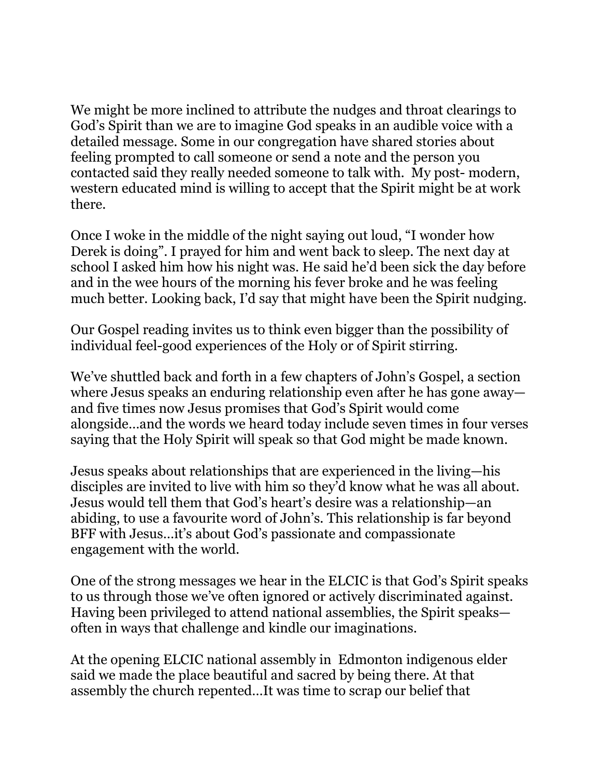We might be more inclined to attribute the nudges and throat clearings to God's Spirit than we are to imagine God speaks in an audible voice with a detailed message. Some in our congregation have shared stories about feeling prompted to call someone or send a note and the person you contacted said they really needed someone to talk with. My post- modern, western educated mind is willing to accept that the Spirit might be at work there.

Once I woke in the middle of the night saying out loud, "I wonder how Derek is doing". I prayed for him and went back to sleep. The next day at school I asked him how his night was. He said he'd been sick the day before and in the wee hours of the morning his fever broke and he was feeling much better. Looking back, I'd say that might have been the Spirit nudging.

Our Gospel reading invites us to think even bigger than the possibility of individual feel-good experiences of the Holy or of Spirit stirring.

We've shuttled back and forth in a few chapters of John's Gospel, a section where Jesus speaks an enduring relationship even after he has gone away and five times now Jesus promises that God's Spirit would come alongside…and the words we heard today include seven times in four verses saying that the Holy Spirit will speak so that God might be made known.

Jesus speaks about relationships that are experienced in the living—his disciples are invited to live with him so they'd know what he was all about. Jesus would tell them that God's heart's desire was a relationship—an abiding, to use a favourite word of John's. This relationship is far beyond BFF with Jesus…it's about God's passionate and compassionate engagement with the world.

One of the strong messages we hear in the ELCIC is that God's Spirit speaks to us through those we've often ignored or actively discriminated against. Having been privileged to attend national assemblies, the Spirit speaks often in ways that challenge and kindle our imaginations.

At the opening ELCIC national assembly in Edmonton indigenous elder said we made the place beautiful and sacred by being there. At that assembly the church repented…It was time to scrap our belief that